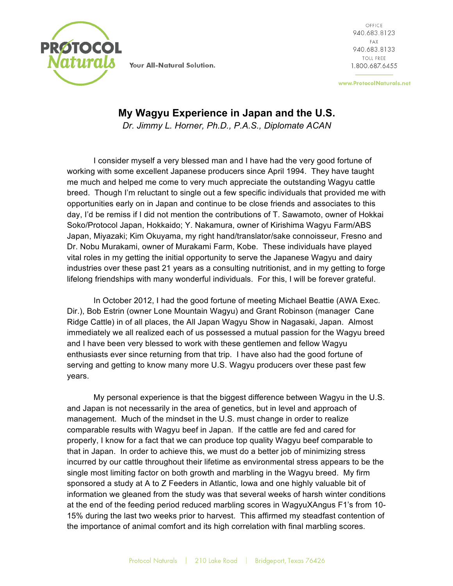

Your All-Natural Solution.

OFFICE 940.683.8123 FAX 940.683.8133 TOLL FREE 1.800.687.6455

www.ProtocolNaturals.net

## **My Wagyu Experience in Japan and the U.S.**

*Dr. Jimmy L. Horner, Ph.D., P.A.S., Diplomate ACAN*

I consider myself a very blessed man and I have had the very good fortune of working with some excellent Japanese producers since April 1994. They have taught me much and helped me come to very much appreciate the outstanding Wagyu cattle breed. Though I'm reluctant to single out a few specific individuals that provided me with opportunities early on in Japan and continue to be close friends and associates to this day, I'd be remiss if I did not mention the contributions of T. Sawamoto, owner of Hokkai Soko/Protocol Japan, Hokkaido; Y. Nakamura, owner of Kirishima Wagyu Farm/ABS Japan, Miyazaki; Kim Okuyama, my right hand/translator/sake connoisseur, Fresno and Dr. Nobu Murakami, owner of Murakami Farm, Kobe. These individuals have played vital roles in my getting the initial opportunity to serve the Japanese Wagyu and dairy industries over these past 21 years as a consulting nutritionist, and in my getting to forge lifelong friendships with many wonderful individuals. For this, I will be forever grateful.

In October 2012, I had the good fortune of meeting Michael Beattie (AWA Exec. Dir.), Bob Estrin (owner Lone Mountain Wagyu) and Grant Robinson (manager Cane Ridge Cattle) in of all places, the All Japan Wagyu Show in Nagasaki, Japan. Almost immediately we all realized each of us possessed a mutual passion for the Wagyu breed and I have been very blessed to work with these gentlemen and fellow Wagyu enthusiasts ever since returning from that trip. I have also had the good fortune of serving and getting to know many more U.S. Wagyu producers over these past few years.

My personal experience is that the biggest difference between Wagyu in the U.S. and Japan is not necessarily in the area of genetics, but in level and approach of management. Much of the mindset in the U.S. must change in order to realize comparable results with Wagyu beef in Japan. If the cattle are fed and cared for properly, I know for a fact that we can produce top quality Wagyu beef comparable to that in Japan. In order to achieve this, we must do a better job of minimizing stress incurred by our cattle throughout their lifetime as environmental stress appears to be the single most limiting factor on both growth and marbling in the Wagyu breed. My firm sponsored a study at A to Z Feeders in Atlantic, Iowa and one highly valuable bit of information we gleaned from the study was that several weeks of harsh winter conditions at the end of the feeding period reduced marbling scores in WagyuXAngus F1's from 10- 15% during the last two weeks prior to harvest. This affirmed my steadfast contention of the importance of animal comfort and its high correlation with final marbling scores.